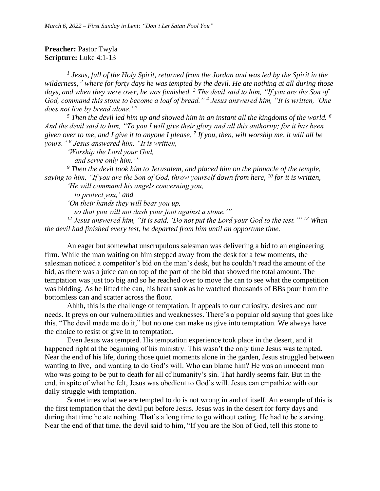## **Preacher: Pastor Twyla Scripture:** Luke 4:1-13

<sup>1</sup> Jesus, full of the Holy Spirit, returned from the Jordan and was led by the Spirit in the *wilderness, <sup>2</sup> where for forty days he was tempted by the devil. He ate nothing at all during those days, and when they were over, he was famished. <sup>3</sup> The devil said to him, "If you are the Son of God, command this stone to become a loaf of bread." <sup>4</sup> Jesus answered him, "It is written, 'One does not live by bread alone.'"*

*<sup>5</sup> Then the devil led him up and showed him in an instant all the kingdoms of the world. <sup>6</sup> And the devil said to him, "To you I will give their glory and all this authority; for it has been given over to me, and I give it to anyone I please. <sup>7</sup> If you, then, will worship me, it will all be yours." <sup>8</sup> Jesus answered him, "It is written,*

*'Worship the Lord your God, and serve only him.'"*

*<sup>9</sup> Then the devil took him to Jerusalem, and placed him on the pinnacle of the temple, saying to him, "If you are the Son of God, throw yourself down from here, <sup>10</sup> for it is written,*

*'He will command his angels concerning you,*

 *to protect you,' and*

*'On their hands they will bear you up,*

 *so that you will not dash your foot against a stone.'"*

*<sup>12</sup> Jesus answered him, "It is said, 'Do not put the Lord your God to the test.'" <sup>13</sup> When the devil had finished every test, he departed from him until an opportune time.*

An eager but somewhat unscrupulous salesman was delivering a bid to an engineering firm. While the man waiting on him stepped away from the desk for a few moments, the salesman noticed a competitor's bid on the man's desk, but he couldn't read the amount of the bid, as there was a juice can on top of the part of the bid that showed the total amount. The temptation was just too big and so he reached over to move the can to see what the competition was bidding. As he lifted the can, his heart sank as he watched thousands of BBs pour from the bottomless can and scatter across the floor.

Ahhh, this is the challenge of temptation. It appeals to our curiosity, desires and our needs. It preys on our vulnerabilities and weaknesses. There's a popular old saying that goes like this, "The devil made me do it," but no one can make us give into temptation. We always have the choice to resist or give in to temptation.

Even Jesus was tempted. His temptation experience took place in the desert, and it happened right at the beginning of his ministry. This wasn't the only time Jesus was tempted. Near the end of his life, during those quiet moments alone in the garden, Jesus struggled between wanting to live, and wanting to do God's will. Who can blame him? He was an innocent man who was going to be put to death for all of humanity's sin. That hardly seems fair. But in the end, in spite of what he felt, Jesus was obedient to God's will. Jesus can empathize with our daily struggle with temptation.

Sometimes what we are tempted to do is not wrong in and of itself. An example of this is the first temptation that the devil put before Jesus. Jesus was in the desert for forty days and during that time he ate nothing. That's a long time to go without eating. He had to be starving. Near the end of that time, the devil said to him, "If you are the Son of God, tell this stone to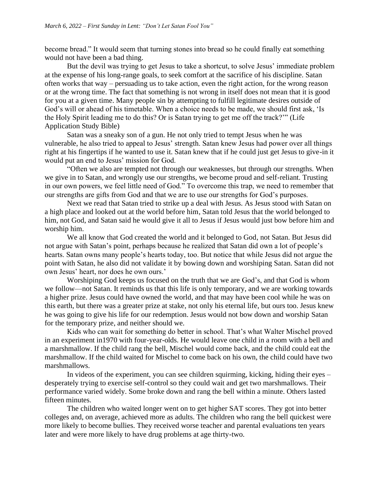become bread." It would seem that turning stones into bread so he could finally eat something would not have been a bad thing.

But the devil was trying to get Jesus to take a shortcut, to solve Jesus' immediate problem at the expense of his long-range goals, to seek comfort at the sacrifice of his discipline. Satan often works that way – persuading us to take action, even the right action, for the wrong reason or at the wrong time. The fact that something is not wrong in itself does not mean that it is good for you at a given time. Many people sin by attempting to fulfill legitimate desires outside of God's will or ahead of his timetable. When a choice needs to be made, we should first ask, 'Is the Holy Spirit leading me to do this? Or is Satan trying to get me off the track?'" (Life Application Study Bible)

Satan was a sneaky son of a gun. He not only tried to tempt Jesus when he was vulnerable, he also tried to appeal to Jesus' strength. Satan knew Jesus had power over all things right at his fingertips if he wanted to use it. Satan knew that if he could just get Jesus to give-in it would put an end to Jesus' mission for God.

"Often we also are tempted not through our weaknesses, but through our strengths. When we give in to Satan, and wrongly use our strengths, we become proud and self-reliant. Trusting in our own powers, we feel little need of God." To overcome this trap, we need to remember that our strengths are gifts from God and that we are to use our strengths for God's purposes.

Next we read that Satan tried to strike up a deal with Jesus. As Jesus stood with Satan on a high place and looked out at the world before him, Satan told Jesus that the world belonged to him, not God, and Satan said he would give it all to Jesus if Jesus would just bow before him and worship him.

We all know that God created the world and it belonged to God, not Satan. But Jesus did not argue with Satan's point, perhaps because he realized that Satan did own a lot of people's hearts. Satan owns many people's hearts today, too. But notice that while Jesus did not argue the point with Satan, he also did not validate it by bowing down and worshiping Satan. Satan did not own Jesus' heart, nor does he own ours.'

Worshiping God keeps us focused on the truth that we are God's, and that God is whom we follow—not Satan. It reminds us that this life is only temporary, and we are working towards a higher prize. Jesus could have owned the world, and that may have been cool while he was on this earth, but there was a greater prize at stake, not only his eternal life, but ours too. Jesus knew he was going to give his life for our redemption. Jesus would not bow down and worship Satan for the temporary prize, and neither should we.

Kids who can wait for something do better in school. That's what Walter Mischel proved in an experiment in1970 with four-year-olds. He would leave one child in a room with a bell and a marshmallow. If the child rang the bell, Mischel would come back, and the child could eat the marshmallow. If the child waited for Mischel to come back on his own, the child could have two marshmallows.

In videos of the experiment, you can see children squirming, kicking, hiding their eyes – desperately trying to exercise self-control so they could wait and get two marshmallows. Their performance varied widely. Some broke down and rang the bell within a minute. Others lasted fifteen minutes.

The children who waited longer went on to get higher SAT scores. They got into better colleges and, on average, achieved more as adults. The children who rang the bell quickest were more likely to become bullies. They received worse teacher and parental evaluations ten years later and were more likely to have drug problems at age thirty-two.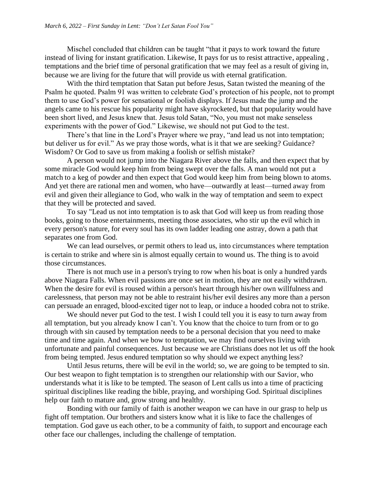Mischel concluded that children can be taught "that it pays to work toward the future instead of living for instant gratification. Likewise, It pays for us to resist attractive, appealing , temptations and the brief time of personal gratification that we may feel as a result of giving in, because we are living for the future that will provide us with eternal gratification.

With the third temptation that Satan put before Jesus, Satan twisted the meaning of the Psalm he quoted. Psalm 91 was written to celebrate God's protection of his people, not to prompt them to use God's power for sensational or foolish displays. If Jesus made the jump and the angels came to his rescue his popularity might have skyrocketed, but that popularity would have been short lived, and Jesus knew that. Jesus told Satan, "No, you must not make senseless experiments with the power of God." Likewise, we should not put God to the test.

There's that line in the Lord's Prayer where we pray, "and lead us not into temptation; but deliver us for evil." As we pray those words, what is it that we are seeking? Guidance? Wisdom? Or God to save us from making a foolish or selfish mistake?

A person would not jump into the Niagara River above the falls, and then expect that by some miracle God would keep him from being swept over the falls. A man would not put a match to a keg of powder and then expect that God would keep him from being blown to atoms. And yet there are rational men and women, who have—outwardly at least—turned away from evil and given their allegiance to God, who walk in the way of temptation and seem to expect that they will be protected and saved.

To say "Lead us not into temptation is to ask that God will keep us from reading those books, going to those entertainments, meeting those associates, who stir up the evil which in every person's nature, for every soul has its own ladder leading one astray, down a path that separates one from God.

We can lead ourselves, or permit others to lead us, into circumstances where temptation is certain to strike and where sin is almost equally certain to wound us. The thing is to avoid those circumstances.

There is not much use in a person's trying to row when his boat is only a hundred yards above Niagara Falls. When evil passions are once set in motion, they are not easily withdrawn. When the desire for evil is roused within a person's heart through his/her own willfulness and carelessness, that person may not be able to restraint his/her evil desires any more than a person can persuade an enraged, blood-excited tiger not to leap, or induce a hooded cobra not to strike.

We should never put God to the test. I wish I could tell you it is easy to turn away from all temptation, but you already know I can't. You know that the choice to turn from or to go through with sin caused by temptation needs to be a personal decision that you need to make time and time again. And when we bow to temptation, we may find ourselves living with unfortunate and painful consequences. Just because we are Christians does not let us off the hook from being tempted. Jesus endured temptation so why should we expect anything less?

Until Jesus returns, there will be evil in the world; so, we are going to be tempted to sin. Our best weapon to fight temptation is to strengthen our relationship with our Savior, who understands what it is like to be tempted. The season of Lent calls us into a time of practicing spiritual disciplines like reading the bible, praying, and worshiping God. Spiritual disciplines help our faith to mature and, grow strong and healthy.

Bonding with our family of faith is another weapon we can have in our grasp to help us fight off temptation. Our brothers and sisters know what it is like to face the challenges of temptation. God gave us each other, to be a community of faith, to support and encourage each other face our challenges, including the challenge of temptation.